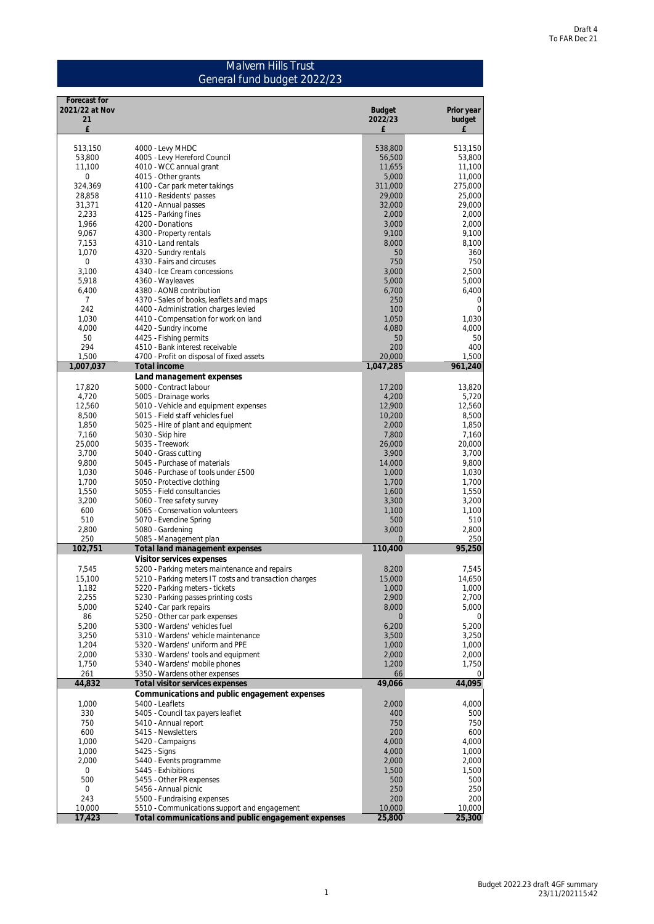### Malvern Hills Trust General fund budget 2022/23

| Forecast for         |                                                                                                     |                          |                      |
|----------------------|-----------------------------------------------------------------------------------------------------|--------------------------|----------------------|
| 2021/22 at Nov<br>21 |                                                                                                     | <b>Budget</b><br>2022/23 | Prior year<br>budget |
| £                    |                                                                                                     | £                        | £                    |
| 513,150              | 4000 - Levy MHDC                                                                                    | 538,800                  | 513,150              |
| 53,800               | 4005 - Levy Hereford Council                                                                        | 56,500                   | 53,800               |
| 11,100               | 4010 - WCC annual grant                                                                             | 11,655                   | 11,100               |
| 0                    | 4015 - Other grants                                                                                 | 5,000                    | 11,000               |
| 324,369              | 4100 - Car park meter takings                                                                       | 311,000                  | 275,000              |
| 28,858<br>31,371     | 4110 - Residents' passes<br>4120 - Annual passes                                                    | 29,000<br>32,000         | 25,000<br>29,000     |
| 2,233                | 4125 - Parking fines                                                                                | 2,000                    | 2,000                |
| 1,966                | 4200 - Donations                                                                                    | 3,000                    | 2,000                |
| 9,067                | 4300 - Property rentals                                                                             | 9,100                    | 9,100                |
| 7,153                | 4310 - Land rentals                                                                                 | 8,000                    | 8,100                |
| 1,070                | 4320 - Sundry rentals                                                                               | 50                       | 360                  |
| 0                    | 4330 - Fairs and circuses                                                                           | 750                      | 750                  |
| 3,100                | 4340 - Ice Cream concessions                                                                        | 3,000                    | 2,500                |
| 5,918                | 4360 - Wayleaves                                                                                    | 5,000                    | 5,000                |
| 6,400<br>7           | 4380 - AONB contribution<br>4370 - Sales of books, leaflets and maps                                | 6,700<br>250             | 6,400<br>0           |
| 242                  | 4400 - Administration charges levied                                                                | 100                      | $\mathbf{0}$         |
| 1,030                | 4410 - Compensation for work on land                                                                | 1,050                    | 1,030                |
| 4,000                | 4420 - Sundry income                                                                                | 4,080                    | 4,000                |
| 50                   | 4425 - Fishing permits                                                                              | 50                       | 50                   |
| 294                  | 4510 - Bank interest receivable                                                                     | 200                      | 400                  |
| 1,500                | 4700 - Profit on disposal of fixed assets                                                           | 20,000                   | 1,500                |
| 1,007,037            | Total income                                                                                        | 1,047,285                | 961,240              |
|                      | Land management expenses                                                                            |                          |                      |
| 17,820               | 5000 - Contract labour                                                                              | 17,200                   | 13,820               |
| 4,720<br>12,560      | 5005 - Drainage works<br>5010 - Vehicle and equipment expenses                                      | 4,200<br>12,900          | 5.720<br>12,560      |
| 8,500                | 5015 - Field staff vehicles fuel                                                                    | 10,200                   | 8,500                |
| 1,850                | 5025 - Hire of plant and equipment                                                                  | 2,000                    | 1,850                |
| 7,160                | 5030 - Skip hire                                                                                    | 7,800                    | 7,160                |
| 25,000               | 5035 - Treework                                                                                     | 26,000                   | 20,000               |
| 3,700                | 5040 - Grass cutting                                                                                | 3,900                    | 3,700                |
| 9,800                | 5045 - Purchase of materials                                                                        | 14,000                   | 9,800                |
| 1,030                | 5046 - Purchase of tools under £500                                                                 | 1,000                    | 1,030                |
| 1,700                | 5050 - Protective clothing                                                                          | 1,700                    | 1,700                |
| 1,550                | 5055 - Field consultancies                                                                          | 1,600                    | 1,550                |
| 3,200<br>600         | 5060 - Tree safety survey                                                                           | 3,300                    | 3,200<br>1,100       |
| 510                  | 5065 - Conservation volunteers<br>5070 - Evendine Spring                                            | 1,100<br>500             | 510                  |
| 2,800                | 5080 - Gardening                                                                                    | 3,000                    | 2,800                |
| 250                  | 5085 - Management plan                                                                              | $\overline{0}$           | 250                  |
| 102,751              | Total land management expenses                                                                      | 110,400                  | 95,250               |
|                      | Visitor services expenses                                                                           |                          |                      |
| 7,545                | 5200 - Parking meters maintenance and repairs                                                       | 8,200                    | 7,545                |
| 15,100               | 5210 - Parking meters IT costs and transaction charges                                              | 15,000                   | 14,650               |
| 1,182                | 5220 - Parking meters - tickets                                                                     | 1,000                    | 1,000                |
| 2,255<br>5,000       | 5230 - Parking passes printing costs<br>5240 - Car park repairs                                     | 2,900<br>8,000           | 2,700<br>5,000       |
| 86                   | 5250 - Other car park expenses                                                                      | $\mathbf{0}$             | 0                    |
| 5,200                | 5300 - Wardens' vehicles fuel                                                                       | 6,200                    | 5,200                |
| 3,250                | 5310 - Wardens' vehicle maintenance                                                                 | 3,500                    | 3,250                |
| 1,204                | 5320 - Wardens' uniform and PPE                                                                     | 1,000                    | 1,000                |
| 2,000                | 5330 - Wardens' tools and equipment                                                                 | 2,000                    | 2,000                |
| 1,750                | 5340 - Wardens' mobile phones                                                                       | 1,200                    | 1,750                |
| 261                  | 5350 - Wardens other expenses                                                                       | 66                       | 0                    |
| 44,832               | Total visitor services expenses                                                                     | 49,066                   | 44,095               |
|                      | Communications and public engagement expenses                                                       |                          |                      |
| 1,000<br>330         | 5400 - Leaflets<br>5405 - Council tax payers leaflet                                                | 2,000<br>400             | 4,000<br>500         |
| 750                  | 5410 - Annual report                                                                                | 750                      | 750                  |
| 600                  | 5415 - Newsletters                                                                                  | 200                      | 600                  |
| 1,000                | 5420 - Campaigns                                                                                    | 4,000                    | 4,000                |
| 1,000                | 5425 - Signs                                                                                        | 4,000                    | 1,000                |
| 2,000                | 5440 - Events programme                                                                             | 2,000                    | 2,000                |
| 0                    | 5445 - Exhibitions                                                                                  | 1,500                    | 1,500                |
| 500                  | 5455 - Other PR expenses                                                                            | 500                      | 500                  |
| 0                    | 5456 - Annual picnic                                                                                | 250                      | 250                  |
| 243                  | 5500 - Fundraising expenses                                                                         | 200                      | 200                  |
| 10,000               | 5510 - Communications support and engagement<br>Total communications and public engagement expenses | 10,000<br>25,800         | 10,000<br>25,300     |
| 17,423               |                                                                                                     |                          |                      |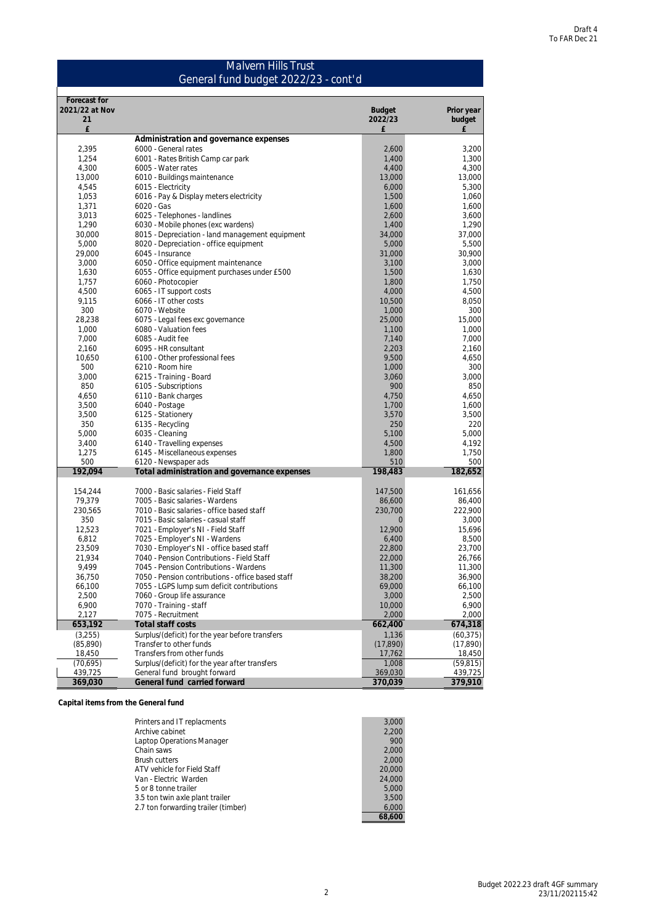#### Malvern Hills Trust General fund budget 2022/23 - cont'd

| Forecast for       |                                                                                    |                           |                    |
|--------------------|------------------------------------------------------------------------------------|---------------------------|--------------------|
| 2021/22 at Nov     |                                                                                    | <b>Budget</b>             | Prior year         |
| 21<br>£            |                                                                                    | 2022/23<br>£              | budget<br>£        |
|                    | Administration and governance expenses                                             |                           |                    |
| 2,395              | 6000 - General rates                                                               | 2,600                     | 3,200              |
| 1,254              | 6001 - Rates British Camp car park                                                 | 1,400                     | 1,300              |
| 4,300              | 6005 - Water rates                                                                 | 4,400                     | 4,300              |
| 13,000             | 6010 - Buildings maintenance                                                       | 13,000                    | 13,000             |
| 4,545              | 6015 - Electricity                                                                 | 6,000                     | 5,300              |
| 1,053              | 6016 - Pay & Display meters electricity                                            | 1,500                     | 1,060              |
| 1,371              | 6020 - Gas                                                                         | 1,600                     | 1,600              |
| 3,013              | 6025 - Telephones - landlines                                                      | 2,600                     | 3,600              |
| 1,290              | 6030 - Mobile phones (exc wardens)                                                 | 1,400                     | 1,290              |
| 30,000             | 8015 - Depreciation - land management equipment                                    | 34,000                    | 37,000             |
| 5,000              | 8020 - Depreciation - office equipment                                             | 5,000                     | 5,500              |
| 29,000             | 6045 - Insurance                                                                   | 31,000                    | 30,900             |
| 3,000              | 6050 - Office equipment maintenance                                                | 3,100                     | 3,000              |
| 1,630              | 6055 - Office equipment purchases under £500                                       | 1,500                     | 1,630              |
| 1,757              | 6060 - Photocopier                                                                 | 1,800                     | 1,750              |
| 4,500              | 6065 - IT support costs                                                            | 4,000                     | 4,500              |
| 9,115              | 6066 - IT other costs                                                              | 10,500                    | 8,050              |
| 300                | 6070 - Website                                                                     | 1,000                     | 300                |
| 28,238             | 6075 - Legal fees exc governance                                                   | 25,000                    | 15,000             |
| 1,000              | 6080 - Valuation fees                                                              | 1,100                     | 1,000              |
| 7.000              | 6085 - Audit fee                                                                   | 7,140                     | 7,000              |
| 2,160              | 6095 - HR consultant                                                               | 2,203                     | 2,160              |
| 10,650<br>500      | 6100 - Other professional fees<br>6210 - Room hire                                 | 9,500<br>1,000            | 4,650<br>300       |
| 3,000              | 6215 - Training - Board                                                            | 3,060                     | 3,000              |
| 850                | 6105 - Subscriptions                                                               | 900                       | 850                |
| 4,650              | 6110 - Bank charges                                                                | 4,750                     | 4,650              |
| 3,500              | 6040 - Postage                                                                     | 1,700                     | 1,600              |
| 3,500              | 6125 - Stationery                                                                  | 3,570                     | 3,500              |
| 350                | 6135 - Recycling                                                                   | 250                       | 220                |
| 5,000              | 6035 - Cleaning                                                                    | 5,100                     | 5,000              |
| 3,400              | 6140 - Travelling expenses                                                         | 4,500                     | 4,192              |
| 1,275              | 6145 - Miscellaneous expenses                                                      | 1,800                     | 1,750              |
| 500                | 6120 - Newspaper ads                                                               | 510                       | 500                |
| 192,094            | Total administration and governance expenses                                       | 198,483                   | 182,652            |
|                    |                                                                                    |                           |                    |
| 154,244            | 7000 - Basic salaries - Field Staff                                                | 147,500                   | 161,656            |
| 79,379             | 7005 - Basic salaries - Wardens                                                    | 86,600                    | 86,400             |
| 230,565<br>350     | 7010 - Basic salaries - office based staff<br>7015 - Basic salaries - casual staff | 230,700<br>$\overline{O}$ | 222,900<br>3,000   |
| 12,523             | 7021 - Employer's NI - Field Staff                                                 | 12,900                    | 15,696             |
| 6,812              | 7025 - Employer's NI - Wardens                                                     | 6,400                     | 8,500              |
| 23,509             | 7030 - Employer's NI - office based staff                                          | 22,800                    | 23,700             |
| 21,934             | 7040 - Pension Contributions - Field Staff                                         | 22,000                    | 26,766             |
| 9,499              | 7045 - Pension Contributions - Wardens                                             | 11,300                    | 11,300             |
| 36,750             | 7050 - Pension contributions - office based staff                                  | 38,200                    | 36,900             |
| 66,100             | 7055 - LGPS lump sum deficit contributions                                         | 69,000                    | 66,100             |
| 2,500              | 7060 - Group life assurance                                                        | 3,000                     | 2,500              |
| 6,900              | 7070 - Training - staff                                                            | 10,000                    | 6,900              |
| 2,127              | 7075 - Recruitment                                                                 | 2,000                     | 2,000              |
| 653,192            | Total staff costs                                                                  | 662,400                   | 674,318            |
| (3,255)            | Surplus/(deficit) for the year before transfers                                    | 1,136                     | (60, 375)          |
| (85,890)           | Transfer to other funds                                                            | (17,890)                  | (17,890)           |
| 18,450             | Transfers from other funds                                                         | 17,762                    | 18,450             |
| (70,695)           | Surplus/(deficit) for the year after transfers                                     | 1,008                     | (59, 815)          |
| 439,725<br>369,030 | General fund brought forward<br>General fund carried forward                       | 369,030<br>370,039        | 439,725<br>379,910 |
|                    |                                                                                    |                           |                    |

**Capital items from the General fund**

| 3.000  |
|--------|
| 2.200  |
| 900    |
| 2.000  |
| 2.000  |
| 20,000 |
| 24.000 |
| 5.000  |
| 3,500  |
| 6.000  |
| 68.600 |
|        |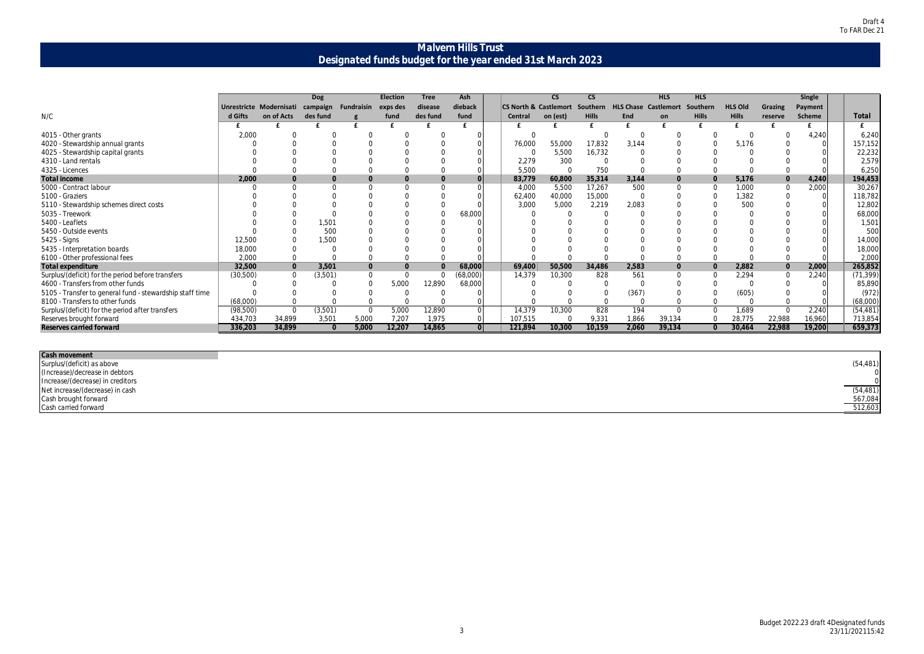| (54, 481)           |
|---------------------|
|                     |
| (54,481)<br>567,084 |
|                     |
| 512,603             |

### **Malvern Hills Trust Designated funds budget for the year ended 31st March 2023**

|                                                          |          |                         | <b>Dog</b> |                   | <b>Election</b> | <b>Tree</b> | <b>Ash</b> |                                           | $\overline{\text{CS}}$ | $\overline{\text{cs}}$ |                             | <b>HLS</b>     | <b>HLS</b>   |                |                | <b>Single</b> |           |
|----------------------------------------------------------|----------|-------------------------|------------|-------------------|-----------------|-------------|------------|-------------------------------------------|------------------------|------------------------|-----------------------------|----------------|--------------|----------------|----------------|---------------|-----------|
|                                                          |          | Unrestricte Modernisati | campaign   | <b>Fundraisin</b> | exps des        | disease     | dieback    | <b>CS North &amp; Castlemort Southern</b> |                        |                        | <b>HLS Chase Castlemort</b> |                | Southern     | <b>HLS Old</b> | <b>Grazing</b> | Payment       |           |
| N/C                                                      | d Gifts  | on of Acts              | des fund   |                   | fund            | des fund    | fund       | Central                                   | on (est)               | <b>Hills</b>           | End                         | on             | <b>Hills</b> | <b>Hills</b>   | reserve        | <b>Scheme</b> | Total     |
|                                                          |          |                         |            |                   |                 |             |            |                                           |                        |                        |                             |                |              |                |                |               |           |
| 4015 - Other grants                                      | 2,000    |                         |            |                   |                 |             |            |                                           |                        |                        | $\Omega$                    |                |              |                |                | 4,240         | 6,240     |
| 4020 - Stewardship annual grants                         |          |                         |            |                   |                 |             |            | 76,000                                    | 55,000                 | 17,832                 | 3,144                       |                |              | 5,176          |                |               | 157,152   |
| 4025 - Stewardship capital grants                        |          |                         |            |                   |                 |             |            |                                           | 5,500                  | 16,732                 |                             |                |              |                |                |               | 22,232    |
| 4310 - Land rentals                                      |          |                         |            |                   |                 |             |            | 2,279                                     | 300                    |                        |                             |                |              |                |                |               | 2,579     |
| 4325 - Licences                                          |          |                         |            |                   |                 |             |            | 5,500                                     |                        | 750                    |                             |                |              |                |                |               | 6,250     |
| Total income                                             | 2,000    | $\Omega$                |            |                   |                 |             |            | 83,779                                    | 60,800                 | 35,314                 | 3,144                       |                |              | 5,176          | $\overline{O}$ | 4,240         | 194,453   |
| 5000 - Contract labour                                   |          |                         |            |                   |                 |             |            | 4,000                                     | 5,500                  | 17,267                 | 500                         | $\cap$         |              | 1,000          |                | 2,000         | 30,267    |
| 5100 - Graziers                                          |          |                         |            |                   |                 |             |            | 62,400                                    | 40,000                 | 15,000                 |                             |                |              | 1,382          |                |               | 118,782   |
| 5110 - Stewardship schemes direct costs                  |          |                         |            |                   |                 |             |            | 3,000                                     | 5,000                  | 2,219                  | 2,083                       |                |              | 500            |                |               | 12,802    |
| 5035 - Treework                                          |          |                         |            |                   |                 |             | 68,000     |                                           |                        |                        |                             |                |              |                |                |               | 68,000    |
| 5400 - Leaflets                                          |          |                         | 1,501      |                   |                 |             |            |                                           |                        |                        |                             |                |              |                |                |               | 1,501     |
| 5450 - Outside events                                    |          |                         | 500        |                   |                 |             |            |                                           |                        |                        |                             |                |              |                |                |               | 500       |
| 5425 - Signs                                             | 12,500   |                         | 1,500      |                   |                 |             |            |                                           |                        |                        |                             |                |              |                |                |               | 14,000    |
| 5435 - Interpretation boards                             | 18,000   |                         |            |                   |                 |             |            |                                           |                        |                        |                             |                |              |                |                |               | 18,000    |
| 6100 - Other professional fees                           | 2,000    |                         |            |                   |                 |             |            |                                           |                        |                        |                             |                |              |                |                |               | 2,000     |
| Total expenditure                                        | 32,500   | $\bigcap$               | 3,501      |                   | $\overline{0}$  |             | 68,000     | 69,400                                    | 50,500                 | 34,486                 | 2,583                       | $\overline{0}$ |              | 2,882          | $\overline{0}$ | 2,000         | 265,852   |
| Surplus/(deficit) for the period before transfers        | (30,500) |                         | (3,501)    |                   |                 |             | (68,000)   | 14,379                                    | 10,300                 | 828                    | 561                         | $\bigcap$      |              | 2,294          |                | 2,240         | (71, 399) |
| 4600 - Transfers from other funds                        |          |                         |            |                   | 5,000           | 12,890      | 68,000     |                                           |                        |                        |                             |                |              |                |                |               | 85,890    |
| 5105 - Transfer to general fund - stewardship staff time |          |                         |            |                   |                 |             |            |                                           |                        |                        | (367)                       |                |              | (605)          |                |               | (972)     |
| 8100 - Transfers to other funds                          | (68,000) |                         |            |                   |                 |             |            |                                           |                        |                        |                             |                |              |                |                |               | (68,000)  |
| Surplus/(deficit) for the period after transfers         | (98,500) | $\bigcap$               | (3,501)    |                   | 5,000           | 12,890      |            | 14,379                                    | 10,300                 | 828                    | 194                         | $\Omega$       | $\Omega$     | 1,689          | $\Omega$       | 2,240         | (54, 481) |
| Reserves brought forward                                 | 434,703  | 34,899                  | 3,501      | 5,000             | 7,207           | 1,975       |            | 107,515                                   |                        | 9,331                  | 1,866                       | 39,134         |              | 28,775         | 22,988         | 16,960        | 713,854   |
| Reserves carried forward                                 | 336,203  | 34,899                  | $\Omega$   | 5,000             | 12,207          | 14,865      | $\Omega$   | 121,894                                   | 10,300                 | 10,159                 | 2,060                       | 39,134         | $\Omega$     | 30,464         | 22,988         | 19,200        | 659,373   |
|                                                          |          |                         |            |                   |                 |             |            |                                           |                        |                        |                             |                |              |                |                |               |           |
|                                                          |          |                         |            |                   |                 |             |            |                                           |                        |                        |                             |                |              |                |                |               |           |

#### **Cash movement**

Surplus/(deficit) as above (54,481) (Increase)/decrease in debtors 0 Increase/(decrease) in creditors 0 Net increase/(decrease) in cash (54,481) Cash brought forward 567,084 Cash carried forward 512,603

J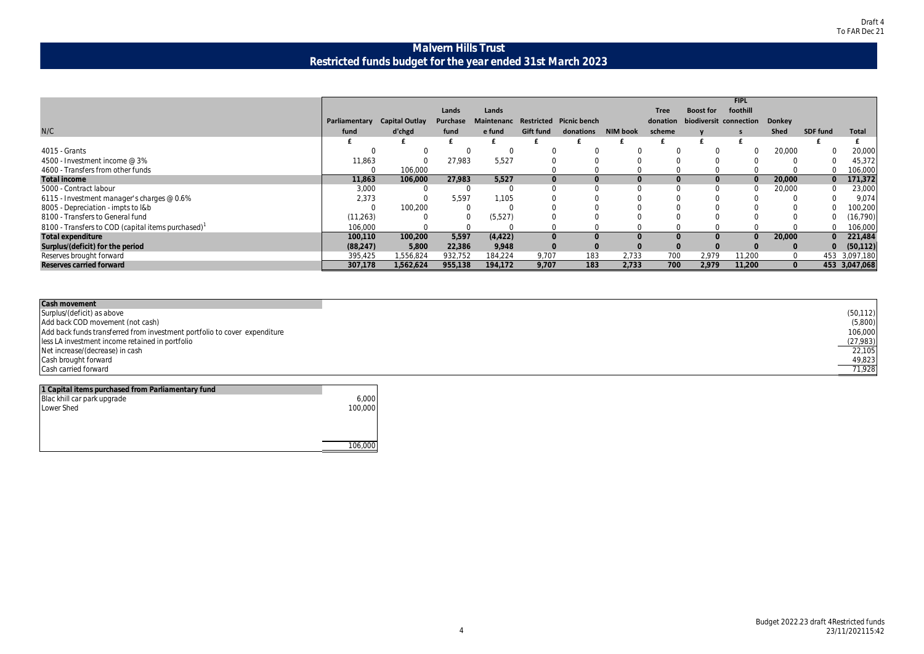| (50, 112)<br>(5,800)<br>106,000<br>(27, 983) |
|----------------------------------------------|
| 22.105<br>49.823                             |
| 71.928                                       |

### **Malvern Hills Trust Restricted funds budget for the year ended 31st March 2023**

|                                                   |               |                       |          |          |                  |                                    |          |             |                  | <b>FIPL</b>                            |             |                 |               |
|---------------------------------------------------|---------------|-----------------------|----------|----------|------------------|------------------------------------|----------|-------------|------------------|----------------------------------------|-------------|-----------------|---------------|
|                                                   |               |                       | Lands    | Lands    |                  |                                    |          | <b>Tree</b> | <b>Boost for</b> | foothill                               |             |                 |               |
|                                                   | Parliamentary | <b>Capital Outlay</b> | Purchase |          |                  | Maintenanc Restricted Picnic bench |          |             |                  | donation biodiversit connection Donkey |             |                 |               |
| N/C                                               | fund          | d'chgd                | fund     | e fund   | <b>Gift fund</b> | donations                          | NIM book | scheme      |                  |                                        | <b>Shed</b> | <b>SDF fund</b> | Total         |
|                                                   |               |                       |          |          |                  |                                    |          |             |                  |                                        |             |                 |               |
| 4015 - Grants                                     |               |                       |          |          |                  |                                    |          |             |                  |                                        | 20,000      |                 | 20,000        |
| 4500 - Investment income @ 3%                     | 11,863        |                       | 27,983   | 5,527    |                  |                                    |          |             |                  |                                        |             |                 | 45,372        |
| 4600 - Transfers from other funds                 |               | 106,000               |          |          |                  |                                    |          |             |                  |                                        |             |                 | 106,000       |
| Total income                                      | 11,863        | 106,000               | 27,983   | 5,527    |                  |                                    |          |             |                  | $\bigcap$                              | 20,000      |                 | 171,372       |
| 5000 - Contract labour                            | 3,000         |                       |          |          |                  |                                    |          |             |                  |                                        | 20,000      |                 | 23,000        |
| 6115 - Investment manager's charges @ 0.6%        | 2,373         |                       | 5,597    | 1,105    |                  |                                    |          |             |                  |                                        |             |                 | 9,074         |
| 8005 - Depreciation - impts to l&b                |               | 100,200               |          |          |                  |                                    |          |             |                  |                                        |             |                 | 100,200       |
| 8100 - Transfers to General fund                  | (11, 263)     |                       |          | (5,527)  |                  |                                    |          |             |                  |                                        |             |                 | (16, 790)     |
| 8100 - Transfers to COD (capital items purchased) | 106,000       |                       |          |          |                  |                                    |          |             |                  |                                        |             |                 | 106,000       |
| Total expenditure                                 | 100,110       | 100,200               | 5,597    | (4, 422) |                  |                                    |          |             |                  | $\Omega$                               | 20,000      |                 | 221,484       |
| Surplus/(deficit) for the period                  | (88, 247)     | 5,800                 | 22,386   | 9,948    |                  |                                    |          |             | $\Omega$         |                                        | $\Omega$    | $\overline{O}$  | (50, 112)     |
| Reserves brought forward                          | 395,425       | 1,556,824             | 932,752  | 184,224  | 9,707            | 183                                | 2,733    | 700         | 2,979            | 11,200                                 | $\Omega$    |                 | 453 3,097,180 |
| Reserves carried forward                          | 307,178       | 1,562,624             | 955,138  | 194,172  | 9,707            | 183                                | 2,733    | 700         | 2,979            | 11,200                                 |             |                 | 453 3,047,068 |

| Cash movement                                                             |  |
|---------------------------------------------------------------------------|--|
| Surplus/(deficit) as above                                                |  |
| Add back COD movement (not cash)                                          |  |
| Add back funds transferred from investment portfolio to cover expenditure |  |
| less LA investment income retained in portfolio                           |  |
| Net increase/(decrease) in cash                                           |  |
| Cash brought forward                                                      |  |
| Cash carried forward                                                      |  |

| 1 Capital items purchased from Parliamentary fund |         |
|---------------------------------------------------|---------|
| Blac khill car park upgrade                       | 6,000   |
| <b>Lower Shed</b>                                 | 100,000 |
|                                                   |         |
|                                                   |         |
|                                                   |         |
|                                                   | 106,000 |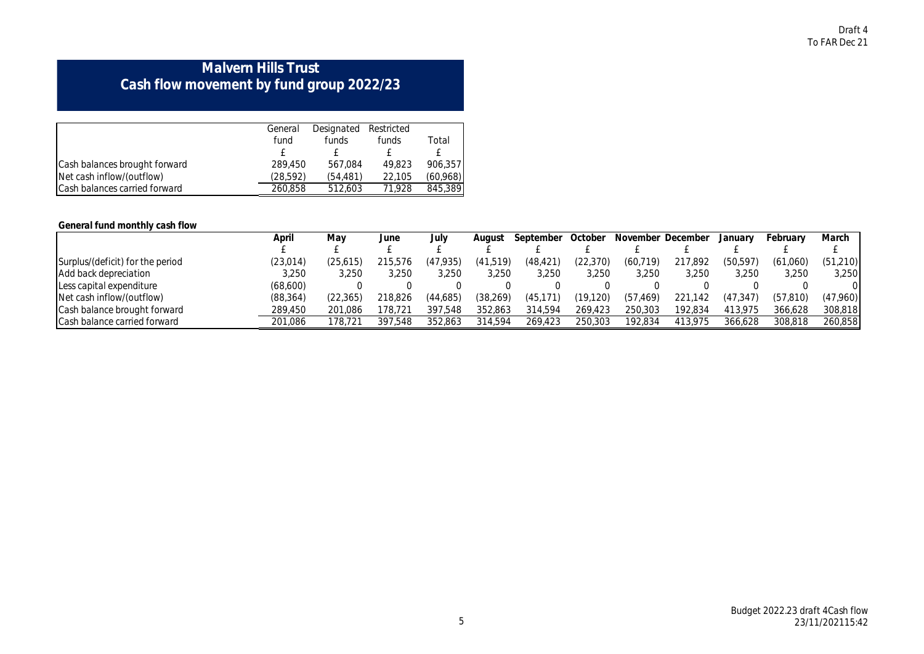## **Malvern Hills Trust Cash flow movement by fund group 2022/23**

|                               | General   | Designated Restricted |        |          |
|-------------------------------|-----------|-----------------------|--------|----------|
|                               | fund      | funds                 | funds  | Total    |
|                               |           |                       |        |          |
| Cash balances brought forward | 289,450   | 567.084               | 49.823 | 906.357  |
| Net cash inflow/(outflow)     | (28, 592) | (54.481)              | 22.105 | (60,968) |
| Cash balances carried forward | 260.858   | 512.603               | 71.928 | 845.389  |

### **General fund monthly cash flow**

|                                  | April     | Mav      | June    | July     | August    | September | October   | November December |         | January   | February  | March    |
|----------------------------------|-----------|----------|---------|----------|-----------|-----------|-----------|-------------------|---------|-----------|-----------|----------|
|                                  |           |          |         |          |           |           |           |                   |         |           |           |          |
| Surplus/(deficit) for the period | (23,014)  | (25,615) | 215,576 | (47,935) | (41,519)  | (48, 421) | (22,370)  | (60, 719)         | 217,892 | (50, 597) | (61,060)  | (51,210) |
| Add back depreciation            | 3,250     | 3.250    | 3.250   | 3,250    | 3.250     | 3,250     | 3,250     | 3.250             | 3,250   | 3,250     | 3.250     | 3,250    |
| Less capital expenditure         | (68,600)  |          |         |          |           |           |           |                   |         |           |           | 0        |
| Net cash inflow/(outflow)        | (88, 364) | (22,365) | 218.826 | (44,685) | (38, 269) | (45,      | (19, 120) | (57)<br>.469)     | 221.142 | (47, 347) | (57, 810) | (47,960) |
| Cash balance brought forward     | 289.450   | 201.086  | 178.721 | 397.548  | 352.863   | 314.594   | 269.423   | 250.303           | 192.834 | 413.975   | 366.628   | 308,818  |
| Cash balance carried forward     | 201.086   | 78.721   | 397.548 | 352.863  | 314.594   | 269.423   | 250.303   | 192.834           | 413.975 | 366.628   | 308.818   | 260,858  |